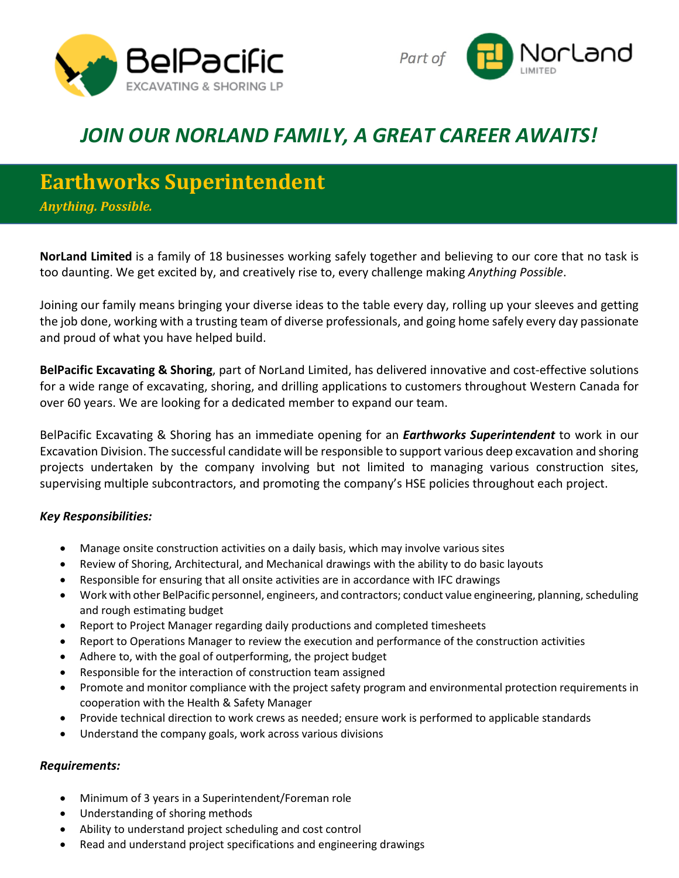



## *JOIN OUR NORLAND FAMILY, A GREAT CAREER AWAITS!*

## **Earthworks Superintendent**

*Anything. Possible.*

**NorLand Limited** is a family of 18 businesses working safely together and believing to our core that no task is too daunting. We get excited by, and creatively rise to, every challenge making *Anything Possible*.

Joining our family means bringing your diverse ideas to the table every day, rolling up your sleeves and getting the job done, working with a trusting team of diverse professionals, and going home safely every day passionate and proud of what you have helped build.

**BelPacific Excavating & Shoring**, part of NorLand Limited, has delivered innovative and cost-effective solutions for a wide range of excavating, shoring, and drilling applications to customers throughout Western Canada for over 60 years. We are looking for a dedicated member to expand our team.

BelPacific Excavating & Shoring has an immediate opening for an *Earthworks Superintendent* to work in our Excavation Division. The successful candidate will be responsible to support various deep excavation and shoring projects undertaken by the company involving but not limited to managing various construction sites, supervising multiple subcontractors, and promoting the company's HSE policies throughout each project.

## *Key Responsibilities:*

- Manage onsite construction activities on a daily basis, which may involve various sites
- Review of Shoring, Architectural, and Mechanical drawings with the ability to do basic layouts
- Responsible for ensuring that all onsite activities are in accordance with IFC drawings
- Work with other BelPacific personnel, engineers, and contractors; conduct value engineering, planning, scheduling and rough estimating budget
- Report to Project Manager regarding daily productions and completed timesheets
- Report to Operations Manager to review the execution and performance of the construction activities
- Adhere to, with the goal of outperforming, the project budget
- Responsible for the interaction of construction team assigned
- Promote and monitor compliance with the project safety program and environmental protection requirements in cooperation with the Health & Safety Manager
- Provide technical direction to work crews as needed; ensure work is performed to applicable standards
- Understand the company goals, work across various divisions

## *Requirements:*

- Minimum of 3 years in a Superintendent/Foreman role
- Understanding of shoring methods
- Ability to understand project scheduling and cost control
- Read and understand project specifications and engineering drawings